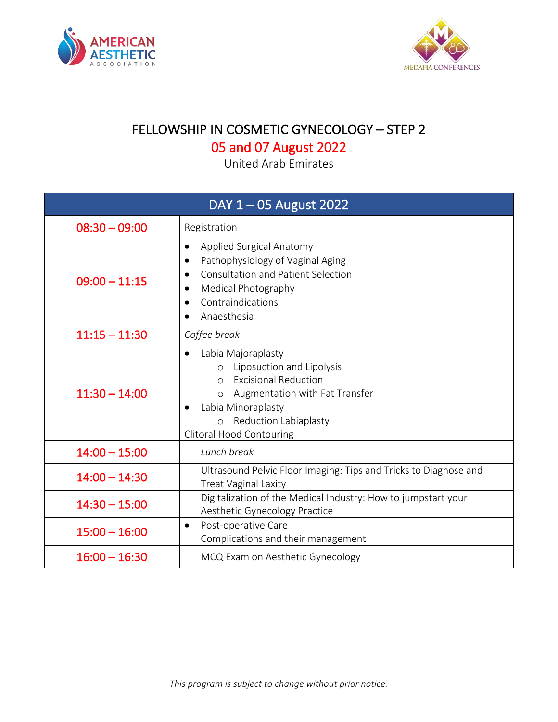



## FELLOWSHIP IN COSMETIC GYNECOLOGY – STEP 2

## 05 and 07 August 2022

United Arab Emirates

| DAY $1 - 05$ August 2022 |                                                                                                                                                                                                                                                              |
|--------------------------|--------------------------------------------------------------------------------------------------------------------------------------------------------------------------------------------------------------------------------------------------------------|
| $08:30 - 09:00$          | Registration                                                                                                                                                                                                                                                 |
| $09:00 - 11:15$          | Applied Surgical Anatomy<br>$\bullet$<br>Pathophysiology of Vaginal Aging<br><b>Consultation and Patient Selection</b><br>Medical Photography<br>Contraindications<br>Anaesthesia<br>$\bullet$                                                               |
| $11:15 - 11:30$          | Coffee break                                                                                                                                                                                                                                                 |
| $11:30 - 14:00$          | Labia Majoraplasty<br>$\bullet$<br>Liposuction and Lipolysis<br>$\circ$<br><b>Excisional Reduction</b><br>$\Omega$<br>Augmentation with Fat Transfer<br>$\circ$<br>Labia Minoraplasty<br>Reduction Labiaplasty<br>$\circ$<br><b>Clitoral Hood Contouring</b> |
| $14:00 - 15:00$          | Lunch break                                                                                                                                                                                                                                                  |
| $14:00 - 14:30$          | Ultrasound Pelvic Floor Imaging: Tips and Tricks to Diagnose and<br><b>Treat Vaginal Laxity</b>                                                                                                                                                              |
| $14:30 - 15:00$          | Digitalization of the Medical Industry: How to jumpstart your<br>Aesthetic Gynecology Practice                                                                                                                                                               |
| $15:00 - 16:00$          | Post-operative Care<br>$\bullet$<br>Complications and their management                                                                                                                                                                                       |
| $16:00 - 16:30$          | MCQ Exam on Aesthetic Gynecology                                                                                                                                                                                                                             |